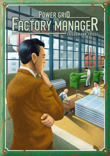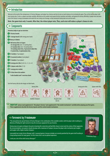## $\Rightarrow$  Introduction

Welcome to the world of the entrepreneurs. In Factory Manager, each player has a factory and tries to earn as much money as he can during the game. Thus, at the end the player with most money wins. To do so, a player must plan carefully, effectively use his workers and acquire the best machines and robots, and operate his factory efficiently. A player must also keep track of his factory's energy consumption and watch the ever-rising cost of energy, so that running his factory does not cost too much..

**1.**

**Note: the game lasts only 5 rounds. After that, the richest player wins. Thus, each error will reduce a player's chance to win.**

## **Examplements**

**Inventory helps to get an overview:**

- **1. 5 factory boards**
- **2. 1 storage board** (with energy price track)
- **3. Money in Elektro**
- **4. 106 factory tiles in 6 types:**
	- **• 35** storage tiles (incl. 15 starting tiles)
	- 27 machine tiles (incl. 10 starting tiles)
	- **• 18 working robot tiles, 9 personnel robot tiles**
	- **• 9 control tiles, 8 optimization tiles**
- **5. 35 workers** (7 per player)
- **6. 10 seasonal workers** (2 per player)
- **7. 15 markers** (3 per player)
- **8. 8 energy pricetiles** (2 x 0, 4 x +1, 2 x +2)
- **9. 12 player order tiles** (1-12)
- **10. 1 energy price marker**
- **11. 10 shut down tile markers**
	- **1 rules booklet and 1 overview sheet**

Sort the factory tiles by the images on their backs.







 **4.**



**11.**

≥2≤

number of players **At game start** X tile

 $(Set A)$ 

**8.**  $\sqrt{9}$ 

**7.**



 **3.**

 **5.**

**10.**

**6.**

 **2.**

Ä



 Important: **please read supplement A: "the player's factory" and supplement B: "the market mechanism" carefully before playing your first game. These supplements describe the factory layouts and the central market mechanism.**

## Foreword by Friedemann:

"The unusual but also special feature of *Factory Manager* is the combination of the available workers with the player order resulting in a dilemma of finding the right moment to buy the necessary equipment for your factories.

During many test games all players focused on learning this connection and had little chance to also track the actions of their opponents. My recommendation: new gamers should only play with a maximum of 4 players, because the player order mechanism gets tougher and tougher with a higher number of players.

I personally love to play *Factory Manager* with 5 seasoned gamers, because mistakes are severely punished by the game itself resulting in a long lasting tension for many games. For first-timers this is not an optimal experience.

**I wish you a lot of fun with** *Factory Manager!***"**



Friedemann Friese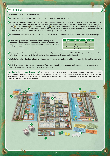## **Preparation**

Every large international company began as small factory.

**1.** Each player chooses a color and takes the 7 workers and 3 markers in that color, a factory board, and 18 Elektro.

**2.** Each player takes a set of factory tiles (either set A, B, C, D or E - letters on the backside) and places the 3 storage tiles and 2 machine tiles on the first 5 spaces of his factory floor. With fewer than 5 players, place the remaining sets in the box. Each player places his markers on the 3 starting spaces of the tracks on his factory board: the production value is 2, the storage size 3, and the energy consumption  $\bigwedge$  of the factory is 4. At the beginning of the game, each machine tile needs 2 workers , so each player places 4 of his workers into the canteen of his factory. He places his remaining 3 workers next to his factory (at the start of the first game each player should take his time to understand, why his factory has these starting values on the tracks by using the supplement A).

**3.** Place the remaining money and the shut down tile markers in the middle of the table. Also, place the seasonal workers for each player here as they wait to be employed.

**4.** Use the following player order tiles (Place the unused tiles back into the game box. These are not used during the game). Shuffle the player order tiles for the start of the game and give a random tile to each player. Shuffle the draw stack tiles and place them face down next to the playing area.

| $#$ of players | At game start    | Draw stack          |
|----------------|------------------|---------------------|
|                | 2,10             | 1, 4, 6, 8          |
| 3              | 5, 7, 8          | 1, 2, 3, 4, 6       |
| 4              | 7, 8, 9, 10      | 1, 2, 3, 4, 5, 6    |
| 5              | 8, 9, 10, 11, 12 | 1, 2, 3, 4, 5, 6, 7 |

- **5.** Use the factory tiles with a number on the back that matches the number of players (e.g. take the tiles numbered "2-5" and "3-5" for a game with 3 players). Arrange the factory tiles as described in supplement B: "the market mechanism". Leave some space next to the storage board for the market.
- **6.** Shuffle the 6 factory tiles with an X (one each per type) and randomly remove 3 from the game, placing these back into the game box. Place the other 3 tiles face up in the market area.
- **7.** Shuffle the 8 energy price tiles face down and randomly remove 3 from the game, placing them back into the game box. Place the remaining 5 tiles in a face down draw stack. Place the energy price marker on space 1 of the energy price track (price: 1 Elektro).

Exception for the first game [Please do this!]: before shuffling all of the energy price tiles, take one of the "0" tiles and place it to the side. Shuffle the remaining 7 tiles and remove 3 from the game. Place the "0" tile on the top of the remaining 4 tiles and place them as a face-down draw stack. Placing the "0" at the top gives players an easier beginning in their first game, because the energy price will not rise at the end of the first turn. This extra preparation avoids the runaway-problem of an early leader. Experienced players should use the normal preparation.

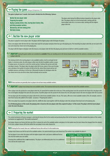## **Playing the game** Being an Entrepreneur 101.

**The game is played over 5 rounds. Each round is divided into the following 5 phases:** 

- 1 Auction the new player order
- 2 Preparing the market
- 3 Buying & placing factory tiles, tearing down factory tiles, and hiring seasonal workers
- 4 Bureaucracy and new energy price
- 5 Distribute income

## 1. Auction the new player order

This phase is played in reverse player order. The player with the highest player order tile begins the phase.

Draw a new player order tile from the face-down draw stack for each player and place them face up in the playing area. The remaining two player order tiles are not used in this turn and remain face-down next to the playing area.

The player with the highest old player order tile chooses a new player order tile from the playing area and starts to bid for it with his available workers.

 Important: during the game workers are considered as **available** if they are standing next to the factory boards and are not in the canteens or already used as a bid for a player order tile.

The minimum bid for the starting player is zero available workers, but he can begin his bid higher. In clockwise order, the other players either raise the bid of available workers or pass. If a player passes, he may not re-enter the current auction. Continue the auction until only one player remains. This player takes the player order tile he won, places it face up in his play area, and places the number of workers he bid on the tile, where they remain and are not available anymore until phase 4 of the turn. Afterwards he places his old player order tile face-down next to his new tile to show, that he already won an auction.



Note: these auctions are generally short as players do not have many available workers.

Important: A player must always have one available worker. The maximum bid must be at least one less than the total of his available workers.

After a player wins the auction for a new player order tile, he cannot bid for another tile in this turn. If the starting player won the auction for the chosen tile, the player with the second highest old player tile starts the next auction. If another player won the auction for the chosen tile, the same player chooses the next new player order tile to auction.

The last player gets the remaining new player order tile for a bid of zero available workers. He can, if he wants, offer one or more available workers (if he, for example, wants to have fewer factory tiles added to the market - see phase 2 "Preparing the market").

After every player has acquired a new player order tile, shuffle the draw stack together with the old player order tiles and place them back next to the playing area.

**For all following phases of the round, the playing order is based on the new player order tiles acquired in phase 1 of this round. The player with the lowest player order tile starts the phase.** 

## $\rightarrow$  2. Preparing the market

The central mechanism of factory manager is selecting the factory tiles for the market and purchasing these tiles for the factories. You find a detailed description of the market mechanism on supplement B: "the market mechanism".

Each player chooses one factory tile from any of the 6 columns for each of his available workers and places it in the market area (he must choose the cheapest from the column). On his turn, a player chooses all his tiles before the next player in turn order chooses his.

≥4≤

Note: during the first round, there are 3 additional factory tiles with an X in the market area.

A player must choose one tile for each of his available workers. He cannot decide to pass and choose less! The workers stay available for phase 4.

The last player in turn order (the player with the highest player order card) places additional factory tiles into the market area (see table).

 $#$  of players | Additional factory tiles  **2 0 3 1 4 2 5 3** 

Choosing these additional tiles is **not** mandatory. The player can deliberately place less or no additional tile at all into the market area!



The player order during the different phases depends on the player order tiles. The players either act in the forward order, starting with the lowest player order tile, or in reverse order, starting with the highest player order tile.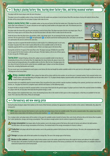# 3. Buying & placing factory tiles, tearing down factory tiles, and hiring seasonal workers

#### The player with the lowest player order tile starts this phase.

The player can use his available workers to buy a factory tile from the market area and place it into his factory floor OR to tear down a factory tile inside his factory floor. He takes all his actions before the next player in player order takes his turn.

Buying & placing factory tiles: An available worker can buy any one factory tile from the market area. If the player has one of the player order cards numbered 4-12, he gets a discount on each single buy (small number on the player order card). The minimum price for a factory tile is always at least 0 Elektro.

The player takes the chosen tile, pays the price and places it into his factory floor. The player must place the tile on an empty space. Thus, if there are no empty spaces on his factory floor, he must first tear down a tile that is there to make room for the new tile.

Inside the factory floor the player places all machines, robots, and storage spaces. He can rearrange the tiles any time to get a better overview. The two special spaces control  $\blacksquare$  and optimization  $\blacksquare$  can only be used for the matching factory tiles. Each player can only have one optimization tile and one control at the same time.

A player may store an acquired tile beside his factory in order to place it in a following round. In such cases, the player may place these tiles in later rounds without the use of an available worker as the tile was originally acquired with the use of an available worker, if there is an empty space in the factory floor.

Placing tiles on the first 10 spaces of the factor floor is free. The player must pay 10 Elektro for each of the last two spaces the first time he places a tile on each space. If he later replaces a tile on one of these spaces, he does not pay the 10 Elektro again.

Tearing down: Instead of buying a factory tile, a player can use an available worker to tear down an already placed factory tile on his factory floor. He simply takes the chosen factory tile, places it next to the factory board and temporarily places the available worker on this tile. After the turn, the player places the torn-down tile back in the box and his worker becomes available again. A player can tear down all placed factory tiles, including Optimization and Control.



 $\overline{I}$ œ

The now vacant space can immediately be used to place a new factory tile that was bought by another available worker in the same turn (or a tile bought in a former turn and still lying next to the factory floor).

Hiring a seasonal WOrker: After a player has taken all his actions with his active workers, he can hire up to 2 seasonal workers. Each seasonal worker costs 7 Elektro (minus a discount depending on the player order cards 4-12). If a player already employs seasonal workers and wants to keep them for another turn he needs to pay for them again at this time.

Seasonal workers are completely equal to normal workers.They can perform the same activities: operate machines (standing in the canteen), purchase turn-order tiles at auction, etc. The player has them for a complete round: until the end of phase 3 of the following round.

If a player decides to not pay to retain his seasonal workers, he must place them back into the general supply. If a player used one or both of his seasonal workers for bidding on a player order tile, he must place them back into the general storage, as well.

When all players have completed their turns, return all remaining factory tiles in the market to their spaces on the storage board, so that they are available for the next round. This is also true of the X tiles, if they are not bought.

# $\rightarrow$  4. Bureaucracy and new energy price

During this phase all players adjust their markers on the tracks of their factories and place the appropriate number of workers in the canteen. Additionally, they adjust the energy price.

Note: players must structure their factories in such a way that each always keeps at least one available worker. This can be a seasonal worker. Also, a player may actively operate only as many robots in his factory, as he has active machines. ( $\odot$ : only 1 robot per machine.)

First, in player order, each player places all his workers in the space for available workers beside his factory. Next, each checks all factory tiles on his factory floor to update the 3 scales (production, storage, and energy consumption). Then each places enough workers into his canteen to operate all his machines.

 **Energy consumption:** Each player adds all white numbers next to the energy symbol of the factory tiles inside his factory and subtracts the dark numbers. The final value is the new energy consumption of the factory. The minimal value of the energy consumption of a factory is always 1.

Production: Each player adds all the dark numbers next to the production symbol of all his factory tiles inside his factory. The sum is the actual production value of the factory.

 **Storage:** Each player adds all the dark numbers his storage tiles. The sum is the storage space of the factory.

 **Workers in the canteen:**Each player adds all white numbers next to the worker symbol of the factory tiles inside his factory and subtracts the dark numbers. The final value is the number of workers the player needs to place inside the canteen of his factory (a minimum of 0). The remaining workers are available in the next round and are placed next to the factory board.